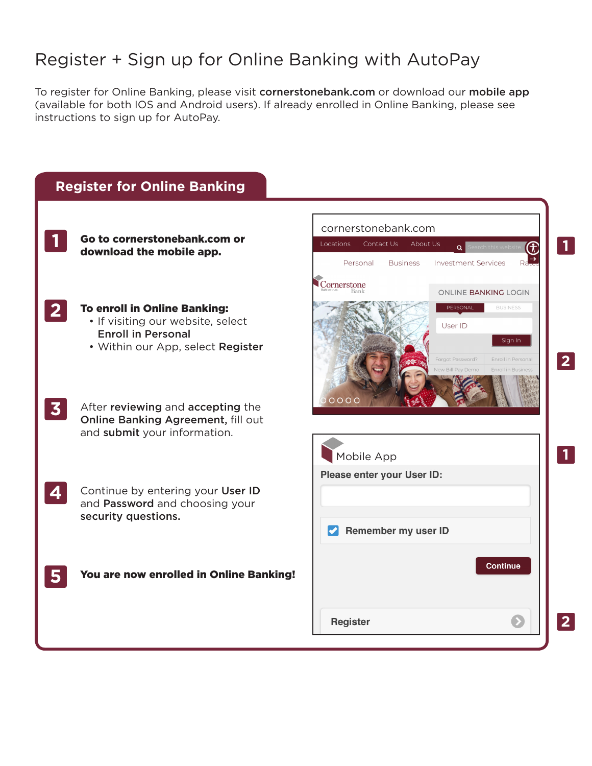## Register + Sign up for Online Banking with AutoPay

To register for Online Banking, please visit cornerstonebank.com or download our mobile app (available for both IOS and Android users). If already enrolled in Online Banking, please see instructions to sign up for AutoPay.